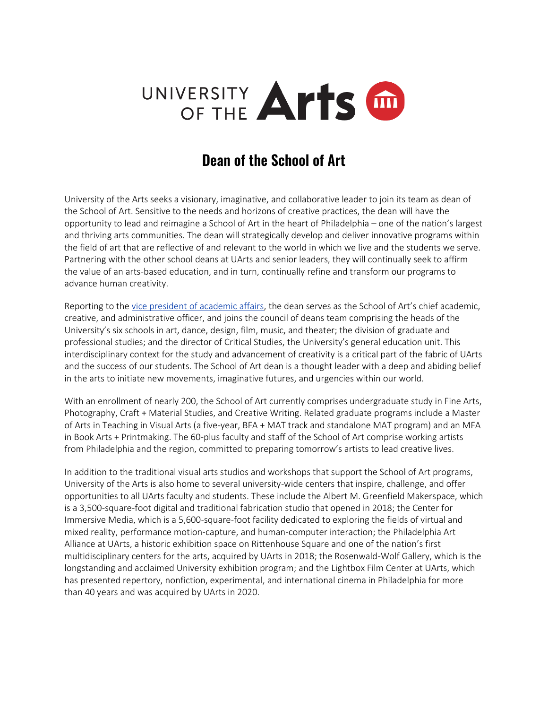

## **Dean of the School of Art**

University of the Arts seeks a visionary, imaginative, and collaborative leader to join its team as dean of the School of Art. Sensitive to the needs and horizons of creative practices, the dean will have the opportunity to lead and reimagine a School of Art in the heart of Philadelphia – one of the nation's largest and thriving arts communities. The dean will strategically develop and deliver innovative programs within the field of art that are reflective of and relevant to the world in which we live and the students we serve. Partnering with the other school deans at UArts and senior leaders, they will continually seek to affirm the value of an arts-based education, and in turn, continually refine and transform our programs to advance human creativity.

Reporting to the [vice president of academic affairs,](https://www.uarts.edu/node/43541) the dean serves as the School of Art's chief academic, creative, and administrative officer, and joins the council of deans team comprising the heads of the University's six schools in art, dance, design, film, music, and theater; the division of graduate and professional studies; and the director of Critical Studies, the University's general education unit. This interdisciplinary context for the study and advancement of creativity is a critical part of the fabric of UArts and the success of our students. The School of Art dean is a thought leader with a deep and abiding belief in the arts to initiate new movements, imaginative futures, and urgencies within our world.

With an enrollment of nearly 200, the School of Art currently comprises undergraduate study in Fine Arts, Photography, Craft + Material Studies, and Creative Writing. Related graduate programs include a Master of Arts in Teaching in Visual Arts (a five-year, BFA + MAT track and standalone MAT program) and an MFA in Book Arts + Printmaking. The 60-plus faculty and staff of the School of Art comprise working artists from Philadelphia and the region, committed to preparing tomorrow's artists to lead creative lives.

In addition to the traditional visual arts studios and workshops that support the School of Art programs, University of the Arts is also home to several university-wide centers that inspire, challenge, and offer opportunities to all UArts faculty and students. These include the Albert M. Greenfield Makerspace, which is a 3,500-square-foot digital and traditional fabrication studio that opened in 2018; the Center for Immersive Media, which is a 5,600-square-foot facility dedicated to exploring the fields of virtual and mixed reality, performance motion-capture, and human-computer interaction; the Philadelphia Art Alliance at UArts, a historic exhibition space on Rittenhouse Square and one of the nation's first multidisciplinary centers for the arts, acquired by UArts in 2018; the Rosenwald-Wolf Gallery, which is the longstanding and acclaimed University exhibition program; and the Lightbox Film Center at UArts, which has presented repertory, nonfiction, experimental, and international cinema in Philadelphia for more than 40 years and was acquired by UArts in 2020.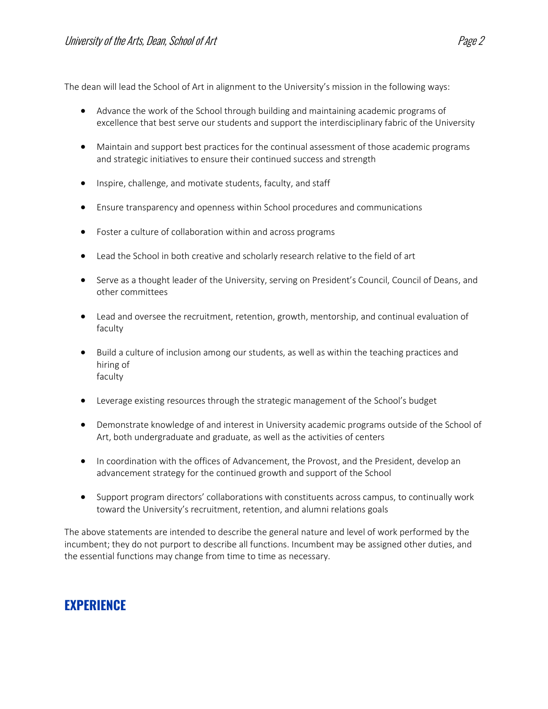The dean will lead the School of Art in alignment to the University's mission in the following ways:

- Advance the work of the School through building and maintaining academic programs of excellence that best serve our students and support the interdisciplinary fabric of the University
- Maintain and support best practices for the continual assessment of those academic programs and strategic initiatives to ensure their continued success and strength
- Inspire, challenge, and motivate students, faculty, and staff
- Ensure transparency and openness within School procedures and communications
- Foster a culture of collaboration within and across programs
- Lead the School in both creative and scholarly research relative to the field of art
- Serve as a thought leader of the University, serving on President's Council, Council of Deans, and other committees
- Lead and oversee the recruitment, retention, growth, mentorship, and continual evaluation of faculty
- Build a culture of inclusion among our students, as well as within the teaching practices and hiring of faculty
- Leverage existing resources through the strategic management of the School's budget
- Demonstrate knowledge of and interest in University academic programs outside of the School of Art, both undergraduate and graduate, as well as the activities of centers
- In coordination with the offices of Advancement, the Provost, and the President, develop an advancement strategy for the continued growth and support of the School
- Support program directors' collaborations with constituents across campus, to continually work toward the University's recruitment, retention, and alumni relations goals

The above statements are intended to describe the general nature and level of work performed by the incumbent; they do not purport to describe all functions. Incumbent may be assigned other duties, and the essential functions may change from time to time as necessary.

#### **EXPERIENCE**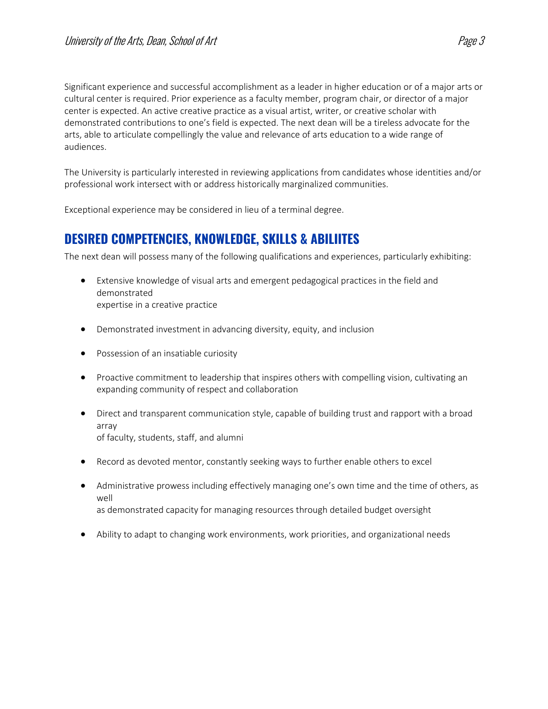Significant experience and successful accomplishment as a leader in higher education or of a major arts or cultural center is required. Prior experience as a faculty member, program chair, or director of a major center is expected. An active creative practice as a visual artist, writer, or creative scholar with demonstrated contributions to one's field is expected. The next dean will be a tireless advocate for the arts, able to articulate compellingly the value and relevance of arts education to a wide range of audiences.

The University is particularly interested in reviewing applications from candidates whose identities and/or professional work intersect with or address historically marginalized communities.

Exceptional experience may be considered in lieu of a terminal degree.

### **DESIRED COMPETENCIES, KNOWLEDGE, SKILLS & ABILIITES**

The next dean will possess many of the following qualifications and experiences, particularly exhibiting:

- Extensive knowledge of visual arts and emergent pedagogical practices in the field and demonstrated expertise in a creative practice
- Demonstrated investment in advancing diversity, equity, and inclusion
- Possession of an insatiable curiosity
- Proactive commitment to leadership that inspires others with compelling vision, cultivating an expanding community of respect and collaboration
- Direct and transparent communication style, capable of building trust and rapport with a broad array of faculty, students, staff, and alumni
- Record as devoted mentor, constantly seeking ways to further enable others to excel
- Administrative prowess including effectively managing one's own time and the time of others, as well as demonstrated capacity for managing resources through detailed budget oversight
- Ability to adapt to changing work environments, work priorities, and organizational needs